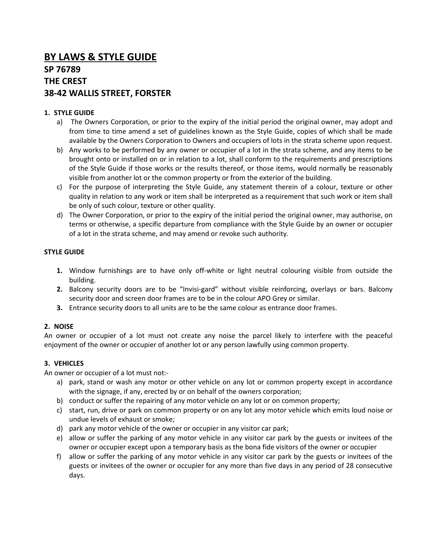# **BY LAWS & STYLE GUIDE SP 76789 THE CREST 38-42 WALLIS STREET, FORSTER**

## **1. STYLE GUIDE**

- a) The Owners Corporation, or prior to the expiry of the initial period the original owner, may adopt and from time to time amend a set of guidelines known as the Style Guide, copies of which shall be made available by the Owners Corporation to Owners and occupiers of lots in the strata scheme upon request.
- b) Any works to be performed by any owner or occupier of a lot in the strata scheme, and any items to be brought onto or installed on or in relation to a lot, shall conform to the requirements and prescriptions of the Style Guide if those works or the results thereof, or those items, would normally be reasonably visible from another lot or the common property or from the exterior of the building.
- c) For the purpose of interpreting the Style Guide, any statement therein of a colour, texture or other quality in relation to any work or item shall be interpreted as a requirement that such work or item shall be only of such colour, texture or other quality.
- d) The Owner Corporation, or prior to the expiry of the initial period the original owner, may authorise, on terms or otherwise, a specific departure from compliance with the Style Guide by an owner or occupier of a lot in the strata scheme, and may amend or revoke such authority.

## **STYLE GUIDE**

- **1.** Window furnishings are to have only off-white or light neutral colouring visible from outside the building.
- **2.** Balcony security doors are to be "Invisi-gard" without visible reinforcing, overlays or bars. Balcony security door and screen door frames are to be in the colour APO Grey or similar.
- **3.** Entrance security doors to all units are to be the same colour as entrance door frames.

## **2. NOISE**

An owner or occupier of a lot must not create any noise the parcel likely to interfere with the peaceful enjoyment of the owner or occupier of another lot or any person lawfully using common property.

## **3. VEHICLES**

An owner or occupier of a lot must not:-

- a) park, stand or wash any motor or other vehicle on any lot or common property except in accordance with the signage, if any, erected by or on behalf of the owners corporation;
- b) conduct or suffer the repairing of any motor vehicle on any lot or on common property;
- c) start, run, drive or park on common property or on any lot any motor vehicle which emits loud noise or undue levels of exhaust or smoke;
- d) park any motor vehicle of the owner or occupier in any visitor car park;
- e) allow or suffer the parking of any motor vehicle in any visitor car park by the guests or invitees of the owner or occupier except upon a temporary basis as the bona fide visitors of the owner or occupier
- f) allow or suffer the parking of any motor vehicle in any visitor car park by the guests or invitees of the guests or invitees of the owner or occupier for any more than five days in any period of 28 consecutive days.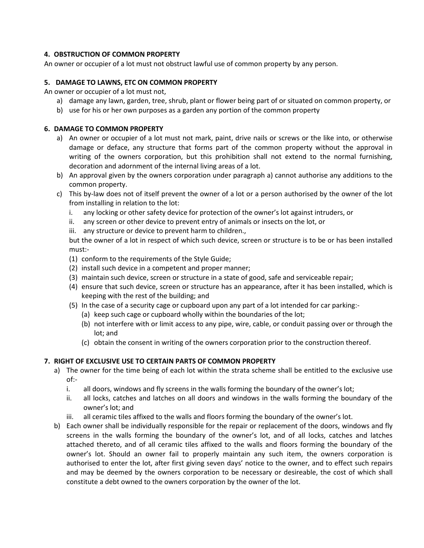## **4. OBSTRUCTION OF COMMON PROPERTY**

An owner or occupier of a lot must not obstruct lawful use of common property by any person.

## **5. DAMAGE TO LAWNS, ETC ON COMMON PROPERTY**

An owner or occupier of a lot must not,

- a) damage any lawn, garden, tree, shrub, plant or flower being part of or situated on common property, or
- b) use for his or her own purposes as a garden any portion of the common property

## **6. DAMAGE TO COMMON PROPERTY**

- a) An owner or occupier of a lot must not mark, paint, drive nails or screws or the like into, or otherwise damage or deface, any structure that forms part of the common property without the approval in writing of the owners corporation, but this prohibition shall not extend to the normal furnishing, decoration and adornment of the internal living areas of a lot.
- b) An approval given by the owners corporation under paragraph a) cannot authorise any additions to the common property.
- c) This by-law does not of itself prevent the owner of a lot or a person authorised by the owner of the lot from installing in relation to the lot:
	- i. any locking or other safety device for protection of the owner's lot against intruders, or
	- ii. any screen or other device to prevent entry of animals or insects on the lot, or
	- iii. any structure or device to prevent harm to children.,

but the owner of a lot in respect of which such device, screen or structure is to be or has been installed must:-

- (1) conform to the requirements of the Style Guide;
- (2) install such device in a competent and proper manner;
- (3) maintain such device, screen or structure in a state of good, safe and serviceable repair;
- (4) ensure that such device, screen or structure has an appearance, after it has been installed, which is keeping with the rest of the building; and
- (5) In the case of a security cage or cupboard upon any part of a lot intended for car parking:-
	- (a) keep such cage or cupboard wholly within the boundaries of the lot;
	- (b) not interfere with or limit access to any pipe, wire, cable, or conduit passing over or through the lot; and
	- (c) obtain the consent in writing of the owners corporation prior to the construction thereof.

## **7. RIGHT OF EXCLUSIVE USE TO CERTAIN PARTS OF COMMON PROPERTY**

- a) The owner for the time being of each lot within the strata scheme shall be entitled to the exclusive use of:
	- i. all doors, windows and fly screens in the walls forming the boundary of the owner's lot;
	- ii. all locks, catches and latches on all doors and windows in the walls forming the boundary of the owner's lot; and
	- iii. all ceramic tiles affixed to the walls and floors forming the boundary of the owner's lot.
- b) Each owner shall be individually responsible for the repair or replacement of the doors, windows and fly screens in the walls forming the boundary of the owner's lot, and of all locks, catches and latches attached thereto, and of all ceramic tiles affixed to the walls and floors forming the boundary of the owner's lot. Should an owner fail to properly maintain any such item, the owners corporation is authorised to enter the lot, after first giving seven days' notice to the owner, and to effect such repairs and may be deemed by the owners corporation to be necessary or desireable, the cost of which shall constitute a debt owned to the owners corporation by the owner of the lot.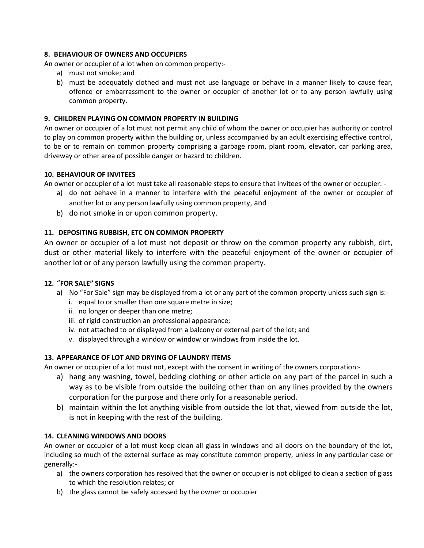## **8. BEHAVIOUR OF OWNERS AND OCCUPIERS**

An owner or occupier of a lot when on common property:-

- a) must not smoke; and
- b) must be adequately clothed and must not use language or behave in a manner likely to cause fear, offence or embarrassment to the owner or occupier of another lot or to any person lawfully using common property.

## **9. CHILDREN PLAYING ON COMMON PROPERTY IN BUILDING**

An owner or occupier of a lot must not permit any child of whom the owner or occupier has authority or control to play on common property within the building or, unless accompanied by an adult exercising effective control, to be or to remain on common property comprising a garbage room, plant room, elevator, car parking area, driveway or other area of possible danger or hazard to children.

## **10. BEHAVIOUR OF INVITEES**

An owner or occupier of a lot must take all reasonable steps to ensure that invitees of the owner or occupier: -

- a) do not behave in a manner to interfere with the peaceful enjoyment of the owner or occupier of another lot or any person lawfully using common property, and
- b) do not smoke in or upon common property.

# **11. DEPOSITING RUBBISH, ETC ON COMMON PROPERTY**

An owner or occupier of a lot must not deposit or throw on the common property any rubbish, dirt, dust or other material likely to interfere with the peaceful enjoyment of the owner or occupier of another lot or of any person lawfully using the common property.

## **12.** "**FOR SALE" SIGNS**

- a) No "For Sale" sign may be displayed from a lot or any part of the common property unless such sign is:
	- i. equal to or smaller than one square metre in size;
	- ii. no longer or deeper than one metre;
	- iii. of rigid construction an professional appearance;
	- iv. not attached to or displayed from a balcony or external part of the lot; and
	- v. displayed through a window or window or windows from inside the lot.

# **13. APPEARANCE OF LOT AND DRYING OF LAUNDRY ITEMS**

An owner or occupier of a lot must not, except with the consent in writing of the owners corporation:-

- a) hang any washing, towel, bedding clothing or other article on any part of the parcel in such a way as to be visible from outside the building other than on any lines provided by the owners corporation for the purpose and there only for a reasonable period.
- b) maintain within the lot anything visible from outside the lot that, viewed from outside the lot, is not in keeping with the rest of the building.

# **14. CLEANING WINDOWS AND DOORS**

An owner or occupier of a lot must keep clean all glass in windows and all doors on the boundary of the lot, including so much of the external surface as may constitute common property, unless in any particular case or generally:-

- a) the owners corporation has resolved that the owner or occupier is not obliged to clean a section of glass to which the resolution relates; or
- b) the glass cannot be safely accessed by the owner or occupier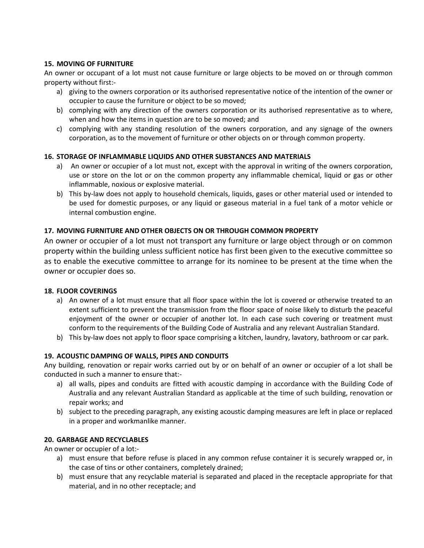## **15. MOVING OF FURNITURE**

An owner or occupant of a lot must not cause furniture or large objects to be moved on or through common property without first:-

- a) giving to the owners corporation or its authorised representative notice of the intention of the owner or occupier to cause the furniture or object to be so moved;
- b) complying with any direction of the owners corporation or its authorised representative as to where, when and how the items in question are to be so moved; and
- c) complying with any standing resolution of the owners corporation, and any signage of the owners corporation, as to the movement of furniture or other objects on or through common property.

## **16. STORAGE OF INFLAMMABLE LIQUIDS AND OTHER SUBSTANCES AND MATERIALS**

- a) An owner or occupier of a lot must not, except with the approval in writing of the owners corporation, use or store on the lot or on the common property any inflammable chemical, liquid or gas or other inflammable, noxious or explosive material.
- b) This by-law does not apply to household chemicals, liquids, gases or other material used or intended to be used for domestic purposes, or any liquid or gaseous material in a fuel tank of a motor vehicle or internal combustion engine.

## **17. MOVING FURNITURE AND OTHER OBJECTS ON OR THROUGH COMMON PROPERTY**

An owner or occupier of a lot must not transport any furniture or large object through or on common property within the building unless sufficient notice has first been given to the executive committee so as to enable the executive committee to arrange for its nominee to be present at the time when the owner or occupier does so.

## **18. FLOOR COVERINGS**

- a) An owner of a lot must ensure that all floor space within the lot is covered or otherwise treated to an extent sufficient to prevent the transmission from the floor space of noise likely to disturb the peaceful enjoyment of the owner or occupier of another lot. In each case such covering or treatment must conform to the requirements of the Building Code of Australia and any relevant Australian Standard.
- b) This by-law does not apply to floor space comprising a kitchen, laundry, lavatory, bathroom or car park.

# **19. ACOUSTIC DAMPING OF WALLS, PIPES AND CONDUITS**

Any building, renovation or repair works carried out by or on behalf of an owner or occupier of a lot shall be conducted in such a manner to ensure that:-

- a) all walls, pipes and conduits are fitted with acoustic damping in accordance with the Building Code of Australia and any relevant Australian Standard as applicable at the time of such building, renovation or repair works; and
- b) subject to the preceding paragraph, any existing acoustic damping measures are left in place or replaced in a proper and workmanlike manner.

## **20. GARBAGE AND RECYCLABLES**

An owner or occupier of a lot:-

- a) must ensure that before refuse is placed in any common refuse container it is securely wrapped or, in the case of tins or other containers, completely drained;
- b) must ensure that any recyclable material is separated and placed in the receptacle appropriate for that material, and in no other receptacle; and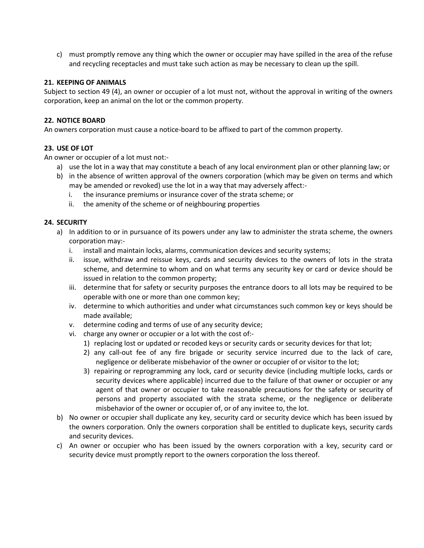c) must promptly remove any thing which the owner or occupier may have spilled in the area of the refuse and recycling receptacles and must take such action as may be necessary to clean up the spill.

#### **21. KEEPING OF ANIMALS**

Subject to section 49 (4), an owner or occupier of a lot must not, without the approval in writing of the owners corporation, keep an animal on the lot or the common property.

## **22. NOTICE BOARD**

An owners corporation must cause a notice-board to be affixed to part of the common property.

## **23. USE OF LOT**

An owner or occupier of a lot must not:-

- a) use the lot in a way that may constitute a beach of any local environment plan or other planning law; or
- b) in the absence of written approval of the owners corporation (which may be given on terms and which may be amended or revoked) use the lot in a way that may adversely affect:
	- i. the insurance premiums or insurance cover of the strata scheme; or
	- ii. the amenity of the scheme or of neighbouring properties

## **24. SECURITY**

- a) In addition to or in pursuance of its powers under any law to administer the strata scheme, the owners corporation may:
	- i. install and maintain locks, alarms, communication devices and security systems;
	- ii. issue, withdraw and reissue keys, cards and security devices to the owners of lots in the strata scheme, and determine to whom and on what terms any security key or card or device should be issued in relation to the common property;
	- iii. determine that for safety or security purposes the entrance doors to all lots may be required to be operable with one or more than one common key;
	- iv. determine to which authorities and under what circumstances such common key or keys should be made available;
	- v. determine coding and terms of use of any security device;
	- vi. charge any owner or occupier or a lot with the cost of:-
		- 1) replacing lost or updated or recoded keys or security cards or security devices for that lot;
		- 2) any call-out fee of any fire brigade or security service incurred due to the lack of care, negligence or deliberate misbehavior of the owner or occupier of or visitor to the lot;
		- 3) repairing or reprogramming any lock, card or security device (including multiple locks, cards or security devices where applicable) incurred due to the failure of that owner or occupier or any agent of that owner or occupier to take reasonable precautions for the safety or security of persons and property associated with the strata scheme, or the negligence or deliberate misbehavior of the owner or occupier of, or of any invitee to, the lot.
- b) No owner or occupier shall duplicate any key, security card or security device which has been issued by the owners corporation. Only the owners corporation shall be entitled to duplicate keys, security cards and security devices.
- c) An owner or occupier who has been issued by the owners corporation with a key, security card or security device must promptly report to the owners corporation the loss thereof.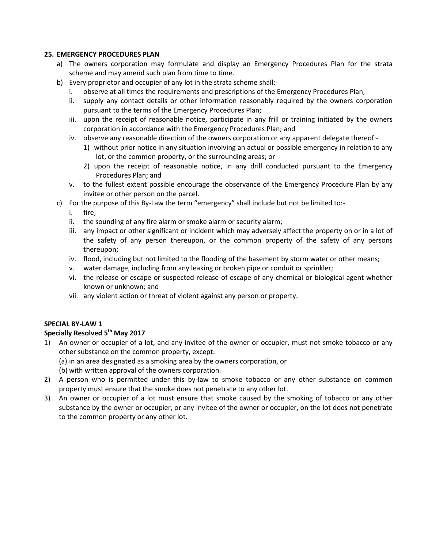## **25. EMERGENCY PROCEDURES PLAN**

- a) The owners corporation may formulate and display an Emergency Procedures Plan for the strata scheme and may amend such plan from time to time.
- b) Every proprietor and occupier of any lot in the strata scheme shall:
	- i. observe at all times the requirements and prescriptions of the Emergency Procedures Plan;
	- ii. supply any contact details or other information reasonably required by the owners corporation pursuant to the terms of the Emergency Procedures Plan;
	- iii. upon the receipt of reasonable notice, participate in any frill or training initiated by the owners corporation in accordance with the Emergency Procedures Plan; and
	- iv. observe any reasonable direction of the owners corporation or any apparent delegate thereof:-
		- 1) without prior notice in any situation involving an actual or possible emergency in relation to any lot, or the common property, or the surrounding areas; or
		- 2) upon the receipt of reasonable notice, in any drill conducted pursuant to the Emergency Procedures Plan; and
	- v. to the fullest extent possible encourage the observance of the Emergency Procedure Plan by any invitee or other person on the parcel.
- c) For the purpose of this By-Law the term "emergency" shall include but not be limited to:
	- i. fire;
	- ii. the sounding of any fire alarm or smoke alarm or security alarm;
	- iii. any impact or other significant or incident which may adversely affect the property on or in a lot of the safety of any person thereupon, or the common property of the safety of any persons thereupon;
	- iv. flood, including but not limited to the flooding of the basement by storm water or other means;
	- v. water damage, including from any leaking or broken pipe or conduit or sprinkler;
	- vi. the release or escape or suspected release of escape of any chemical or biological agent whether known or unknown; and
	- vii. any violent action or threat of violent against any person or property.

## **SPECIAL BY-LAW 1**

## **Specially Resolved 5th May 2017**

- 1) An owner or occupier of a lot, and any invitee of the owner or occupier, must not smoke tobacco or any other substance on the common property, except:
	- (a) in an area designated as a smoking area by the owners corporation, or
	- (b) with written approval of the owners corporation.
- 2) A person who is permitted under this by-law to smoke tobacco or any other substance on common property must ensure that the smoke does not penetrate to any other lot.
- 3) An owner or occupier of a lot must ensure that smoke caused by the smoking of tobacco or any other substance by the owner or occupier, or any invitee of the owner or occupier, on the lot does not penetrate to the common property or any other lot.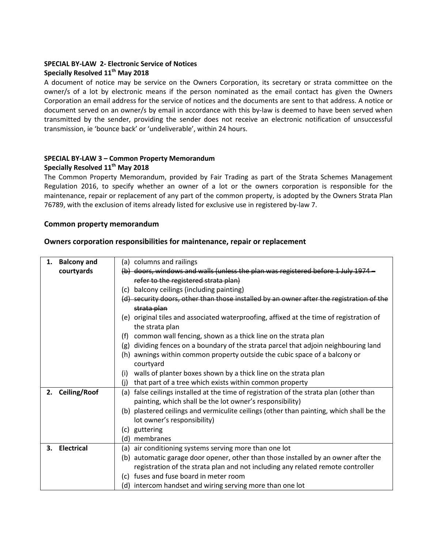# **SPECIAL BY-LAW 2- Electronic Service of Notices Specially Resolved 11th May 2018**

A document of notice may be service on the Owners Corporation, its secretary or strata committee on the owner/s of a lot by electronic means if the person nominated as the email contact has given the Owners Corporation an email address for the service of notices and the documents are sent to that address. A notice or document served on an owner/s by email in accordance with this by-law is deemed to have been served when transmitted by the sender, providing the sender does not receive an electronic notification of unsuccessful transmission, ie 'bounce back' or 'undeliverable', within 24 hours.

# **SPECIAL BY-LAW 3 – Common Property Memorandum Specially Resolved 11th May 2018**

The Common Property Memorandum, provided by Fair Trading as part of the Strata Schemes Management Regulation 2016, to specify whether an owner of a lot or the owners corporation is responsible for the maintenance, repair or replacement of any part of the common property, is adopted by the Owners Strata Plan 76789, with the exclusion of items already listed for exclusive use in registered by-law 7.

# **Common property memorandum**

## **Owners corporation responsibilities for maintenance, repair or replacement**

| 1. | <b>Balcony and</b>  | (a) columns and railings                                                                                   |
|----|---------------------|------------------------------------------------------------------------------------------------------------|
|    | courtyards          | (b) doors, windows and walls (unless the plan was registered before 1 July 1974 -                          |
|    |                     | refer to the registered strata plan)                                                                       |
|    |                     | balcony ceilings (including painting)<br>(c)                                                               |
|    |                     | (d) security doors, other than those installed by an owner after the registration of the<br>strata plan    |
|    |                     | (e) original tiles and associated waterproofing, affixed at the time of registration of<br>the strata plan |
|    |                     | common wall fencing, shown as a thick line on the strata plan<br>(f)                                       |
|    |                     | dividing fences on a boundary of the strata parcel that adjoin neighbouring land<br>(g)                    |
|    |                     | awnings within common property outside the cubic space of a balcony or<br>(h)                              |
|    |                     | courtyard                                                                                                  |
|    |                     | walls of planter boxes shown by a thick line on the strata plan<br>(i)                                     |
|    |                     | that part of a tree which exists within common property<br>(i)                                             |
| 2. | <b>Ceiling/Roof</b> | false ceilings installed at the time of registration of the strata plan (other than<br>(a)                 |
|    |                     | painting, which shall be the lot owner's responsibility)                                                   |
|    |                     | plastered ceilings and vermiculite ceilings (other than painting, which shall be the<br>(b)                |
|    |                     | lot owner's responsibility)                                                                                |
|    |                     | (c) guttering                                                                                              |
|    |                     | membranes<br>(d)                                                                                           |
| 3. | <b>Electrical</b>   | (a) air conditioning systems serving more than one lot                                                     |
|    |                     | automatic garage door opener, other than those installed by an owner after the<br>(b)                      |
|    |                     | registration of the strata plan and not including any related remote controller                            |
|    |                     | fuses and fuse board in meter room<br>(c)                                                                  |
|    |                     | (d) intercom handset and wiring serving more than one lot                                                  |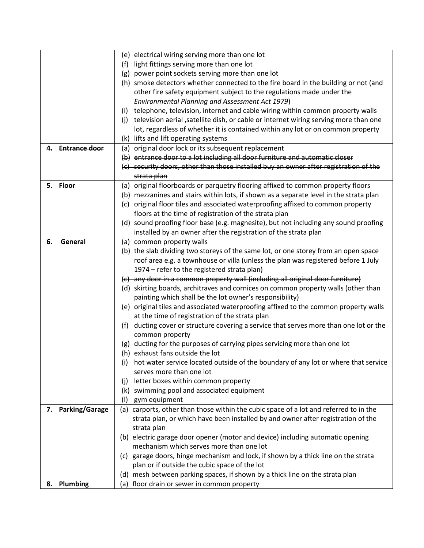|                      | (e) electrical wiring serving more than one lot                                                         |
|----------------------|---------------------------------------------------------------------------------------------------------|
|                      | light fittings serving more than one lot<br>(f)                                                         |
|                      | (g) power point sockets serving more than one lot                                                       |
|                      | (h) smoke detectors whether connected to the fire board in the building or not (and                     |
|                      | other fire safety equipment subject to the regulations made under the                                   |
|                      | Environmental Planning and Assessment Act 1979)                                                         |
|                      | telephone, television, internet and cable wiring within common property walls<br>(i)                    |
|                      | television aerial, satellite dish, or cable or internet wiring serving more than one<br>(i)             |
|                      | lot, regardless of whether it is contained within any lot or on common property                         |
|                      | (k) lifts and lift operating systems                                                                    |
| <b>Entrance door</b> | (a) original door lock or its subsequent replacement                                                    |
|                      | (b) entrance door to a lot including all door furniture and automatic closer                            |
|                      | (c) security doors, other than those installed buy an owner after registration of the                   |
|                      | strata plan                                                                                             |
| 5. Floor             | (a) original floorboards or parquetry flooring affixed to common property floors                        |
|                      | (b) mezzanines and stairs within lots, if shown as a separate level in the strata plan                  |
|                      | (c) original floor tiles and associated waterproofing affixed to common property                        |
|                      | floors at the time of registration of the strata plan                                                   |
|                      | (d) sound proofing floor base (e.g. magnesite), but not including any sound proofing                    |
|                      | installed by an owner after the registration of the strata plan                                         |
| General<br>6.        | (a) common property walls                                                                               |
|                      | (b) the slab dividing two storeys of the same lot, or one storey from an open space                     |
|                      | roof area e.g. a townhouse or villa (unless the plan was registered before 1 July                       |
|                      | 1974 – refer to the registered strata plan)                                                             |
|                      | (c) any door in a common property wall (including all original door furniture)                          |
|                      | (d) skirting boards, architraves and cornices on common property walls (other than                      |
|                      | painting which shall be the lot owner's responsibility)                                                 |
|                      | (e) original tiles and associated waterproofing affixed to the common property walls                    |
|                      | at the time of registration of the strata plan                                                          |
|                      | ducting cover or structure covering a service that serves more than one lot or the<br>(f)               |
|                      | common property                                                                                         |
|                      | (g) ducting for the purposes of carrying pipes servicing more than one lot                              |
|                      | (h) exhaust fans outside the lot                                                                        |
|                      | hot water service located outside of the boundary of any lot or where that service<br>$\left( 1\right)$ |
|                      | serves more than one lot                                                                                |
|                      | letter boxes within common property<br>(i)                                                              |
|                      | swimming pool and associated equipment<br>(k)                                                           |
|                      | gym equipment<br>(1)                                                                                    |
| 7. Parking/Garage    | (a) carports, other than those within the cubic space of a lot and referred to in the                   |
|                      | strata plan, or which have been installed by and owner after registration of the                        |
|                      | strata plan                                                                                             |
|                      | (b) electric garage door opener (motor and device) including automatic opening                          |
|                      | mechanism which serves more than one lot                                                                |
|                      | (c) garage doors, hinge mechanism and lock, if shown by a thick line on the strata                      |
|                      | plan or if outside the cubic space of the lot                                                           |
|                      | (d) mesh between parking spaces, if shown by a thick line on the strata plan                            |
| 8. Plumbing          | (a) floor drain or sewer in common property                                                             |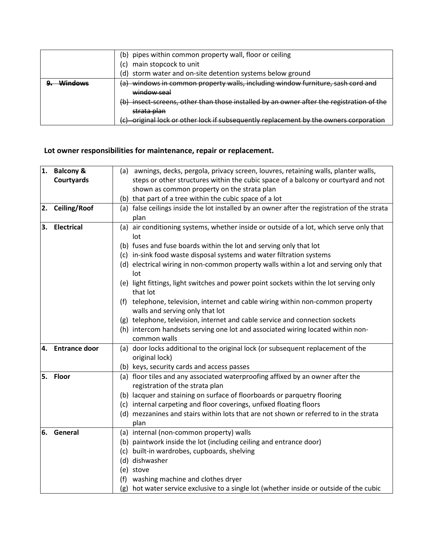|         | (b) pipes within common property wall, floor or ceiling                                  |
|---------|------------------------------------------------------------------------------------------|
|         | (c) main stopcock to unit                                                                |
|         | (d) storm water and on-site detention systems below ground                               |
| Windows | (a) windows in common property walls, including window furniture, sash cord and          |
|         | window seal                                                                              |
|         | (b) insect-screens, other than those installed by an owner after the registration of the |
|         | <del>strata plan</del>                                                                   |
|         | (c) original lock or other lock if subsequently replacement by the owners corporation    |

# **Lot owner responsibilities for maintenance, repair or replacement.**

| 1.  | <b>Balcony &amp;</b> | awnings, decks, pergola, privacy screen, louvres, retaining walls, planter walls,<br>(a)     |
|-----|----------------------|----------------------------------------------------------------------------------------------|
|     | Courtyards           | steps or other structures within the cubic space of a balcony or courtyard and not           |
|     |                      | shown as common property on the strata plan                                                  |
|     |                      | (b) that part of a tree within the cubic space of a lot                                      |
| 2.  | Ceiling/Roof         | (a) false ceilings inside the lot installed by an owner after the registration of the strata |
|     |                      | plan                                                                                         |
| 3.  | <b>Electrical</b>    | (a) air conditioning systems, whether inside or outside of a lot, which serve only that      |
|     |                      | lot                                                                                          |
|     |                      | (b) fuses and fuse boards within the lot and serving only that lot                           |
|     |                      | (c) in-sink food waste disposal systems and water filtration systems                         |
|     |                      | (d) electrical wiring in non-common property walls within a lot and serving only that        |
|     |                      | lot                                                                                          |
|     |                      | (e) light fittings, light switches and power point sockets within the lot serving only       |
|     |                      | that lot                                                                                     |
|     |                      | telephone, television, internet and cable wiring within non-common property<br>(f)           |
|     |                      | walls and serving only that lot                                                              |
|     |                      | (g) telephone, television, internet and cable service and connection sockets                 |
|     |                      | (h) intercom handsets serving one lot and associated wiring located within non-              |
|     |                      | common walls                                                                                 |
| 4.  | <b>Entrance door</b> | (a) door locks additional to the original lock (or subsequent replacement of the             |
|     |                      | original lock)                                                                               |
|     |                      | (b) keys, security cards and access passes                                                   |
| 5.  | Floor                | (a) floor tiles and any associated waterproofing affixed by an owner after the               |
|     |                      | registration of the strata plan                                                              |
|     |                      | (b) lacquer and staining on surface of floorboards or parquetry flooring                     |
|     |                      | (c) internal carpeting and floor coverings, unfixed floating floors                          |
|     |                      | (d) mezzanines and stairs within lots that are not shown or referred to in the strata        |
|     |                      | plan                                                                                         |
| l6. | General              | (a) internal (non-common property) walls                                                     |
|     |                      | (b) paintwork inside the lot (including ceiling and entrance door)                           |
|     |                      | (c) built-in wardrobes, cupboards, shelving                                                  |
|     |                      | (d) dishwasher                                                                               |
|     |                      | (e) stove                                                                                    |
|     |                      | (f) washing machine and clothes dryer                                                        |
|     |                      | (g) hot water service exclusive to a single lot (whether inside or outside of the cubic      |